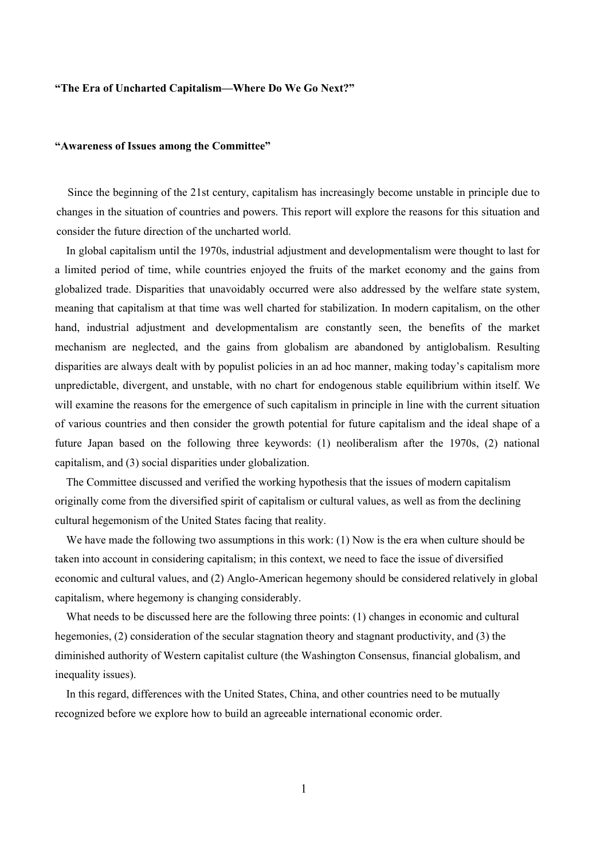## **"The Era of Uncharted Capitalism—Where Do We Go Next?"**

## **"Awareness of Issues among the Committee"**

Since the beginning of the 21st century, capitalism has increasingly become unstable in principle due to changes in the situation of countries and powers. This report will explore the reasons for this situation and consider the future direction of the uncharted world.

In global capitalism until the 1970s, industrial adjustment and developmentalism were thought to last for a limited period of time, while countries enjoyed the fruits of the market economy and the gains from globalized trade. Disparities that unavoidably occurred were also addressed by the welfare state system, meaning that capitalism at that time was well charted for stabilization. In modern capitalism, on the other hand, industrial adjustment and developmentalism are constantly seen, the benefits of the market mechanism are neglected, and the gains from globalism are abandoned by antiglobalism. Resulting disparities are always dealt with by populist policies in an ad hoc manner, making today's capitalism more unpredictable, divergent, and unstable, with no chart for endogenous stable equilibrium within itself. We will examine the reasons for the emergence of such capitalism in principle in line with the current situation of various countries and then consider the growth potential for future capitalism and the ideal shape of a future Japan based on the following three keywords: (1) neoliberalism after the 1970s, (2) national capitalism, and (3) social disparities under globalization.

The Committee discussed and verified the working hypothesis that the issues of modern capitalism originally come from the diversified spirit of capitalism or cultural values, as well as from the declining cultural hegemonism of the United States facing that reality.

We have made the following two assumptions in this work: (1) Now is the era when culture should be taken into account in considering capitalism; in this context, we need to face the issue of diversified economic and cultural values, and (2) Anglo-American hegemony should be considered relatively in global capitalism, where hegemony is changing considerably.

What needs to be discussed here are the following three points: (1) changes in economic and cultural hegemonies, (2) consideration of the secular stagnation theory and stagnant productivity, and (3) the diminished authority of Western capitalist culture (the Washington Consensus, financial globalism, and inequality issues).

In this regard, differences with the United States, China, and other countries need to be mutually recognized before we explore how to build an agreeable international economic order.